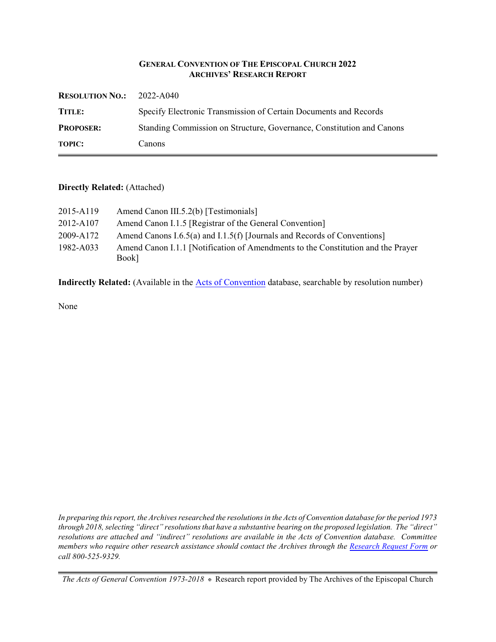#### **GENERAL CONVENTION OF THE EPISCOPAL CHURCH 2022 ARCHIVES' RESEARCH REPORT**

| <b>RESOLUTION NO.:</b> 2022-A040 |                                                                       |
|----------------------------------|-----------------------------------------------------------------------|
| TITLE:                           | Specify Electronic Transmission of Certain Documents and Records      |
| <b>PROPOSER:</b>                 | Standing Commission on Structure, Governance, Constitution and Canons |
| <b>TOPIC:</b>                    | Canons.                                                               |

### **Directly Related:** (Attached)

| 2015-A119 | Amend Canon III.5.2(b) [Testimonials]                                            |
|-----------|----------------------------------------------------------------------------------|
| 2012-A107 | Amend Canon I.1.5 [Registrar of the General Convention]                          |
| 2009-A172 | Amend Canons I.6.5(a) and I.1.5(f) [Journals and Records of Conventions]         |
| 1982-A033 | Amend Canon I.1.1 [Notification of Amendments to the Constitution and the Prayer |
|           | Book]                                                                            |

**Indirectly Related:** (Available in the [Acts of Convention](https://www.episcopalarchives.org/e-archives/acts/) database, searchable by resolution number)

None

*In preparing this report, the Archives researched the resolutions in the Acts of Convention database for the period 1973 through 2018, selecting "direct" resolutions that have a substantive bearing on the proposed legislation. The "direct" resolutions are attached and "indirect" resolutions are available in the Acts of Convention database. Committee members who require other research assistance should contact the Archives through the Research [Request Form](https://www.episcopalarchives.org/contact/research-request-form) or call 800-525-9329.*

*The Acts of General Convention 1973-2018* a Research report provided by The Archives of the Episcopal Church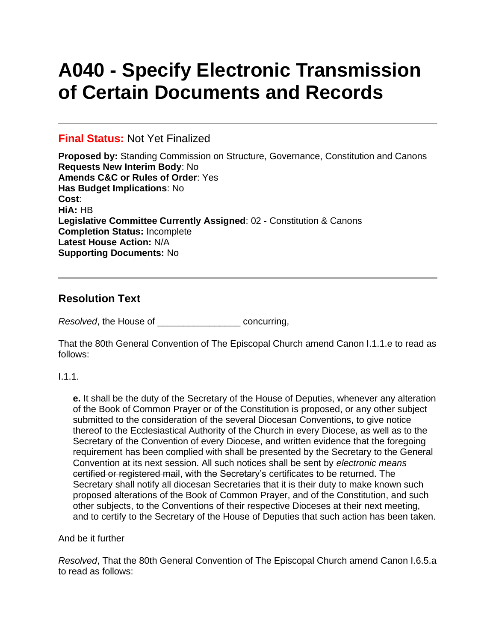# **A040 - Specify Electronic Transmission of Certain Documents and Records**

## **Final Status:** Not Yet Finalized

**Proposed by:** Standing Commission on Structure, Governance, Constitution and Canons **Requests New Interim Body**: No **Amends C&C or Rules of Order**: Yes **Has Budget Implications**: No **Cost**: **HiA:** HB **Legislative Committee Currently Assigned**: 02 - Constitution & Canons **Completion Status:** Incomplete **Latest House Action:** N/A **Supporting Documents:** No

## **Resolution Text**

*Resolved*, the House of \_\_\_\_\_\_\_\_\_\_\_\_\_\_\_\_ concurring,

That the 80th General Convention of The Episcopal Church amend Canon I.1.1.e to read as follows:

## I.1.1.

**e.** It shall be the duty of the Secretary of the House of Deputies, whenever any alteration of the Book of Common Prayer or of the Constitution is proposed, or any other subject submitted to the consideration of the several Diocesan Conventions, to give notice thereof to the Ecclesiastical Authority of the Church in every Diocese, as well as to the Secretary of the Convention of every Diocese, and written evidence that the foregoing requirement has been complied with shall be presented by the Secretary to the General Convention at its next session. All such notices shall be sent by *electronic means* certified or registered mail, with the Secretary's certificates to be returned. The Secretary shall notify all diocesan Secretaries that it is their duty to make known such proposed alterations of the Book of Common Prayer, and of the Constitution, and such other subjects, to the Conventions of their respective Dioceses at their next meeting, and to certify to the Secretary of the House of Deputies that such action has been taken.

### And be it further

*Resolved*, That the 80th General Convention of The Episcopal Church amend Canon I.6.5.a to read as follows: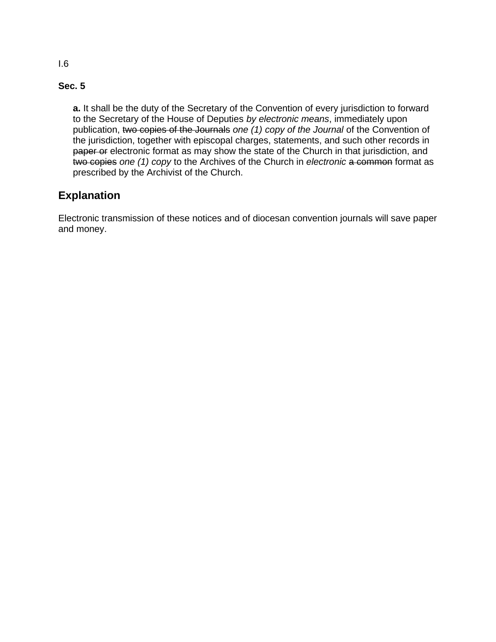## **Sec. 5**

**a.** It shall be the duty of the Secretary of the Convention of every jurisdiction to forward to the Secretary of the House of Deputies *by electronic means*, immediately upon publication, two copies of the Journals *one (1) copy of the Journal* of the Convention of the jurisdiction, together with episcopal charges, statements, and such other records in paper or electronic format as may show the state of the Church in that jurisdiction, and two copies *one (1) copy* to the Archives of the Church in *electronic* a common format as prescribed by the Archivist of the Church.

## **Explanation**

Electronic transmission of these notices and of diocesan convention journals will save paper and money.

I.6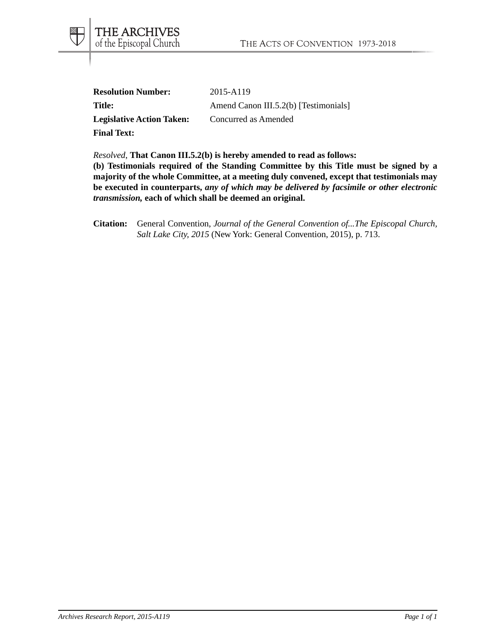| <b>Resolution Number:</b>        | 2015-A119                             |
|----------------------------------|---------------------------------------|
| Title:                           | Amend Canon III.5.2(b) [Testimonials] |
| <b>Legislative Action Taken:</b> | Concurred as Amended                  |
| <b>Final Text:</b>               |                                       |

THE ARCHIVES<br>of the Episcopal Church

*Resolved*, **That Canon III.5.2(b) is hereby amended to read as follows:**

**(b) Testimonials required of the Standing Committee by this Title must be signed by a majority of the whole Committee, at a meeting duly convened, except that testimonials may be executed in counterparts,** *any of which may be delivered by facsimile or other electronic transmission,* **each of which shall be deemed an original.**

**Citation:** General Convention, *Journal of the General Convention of...The Episcopal Church, Salt Lake City, 2015* (New York: General Convention, 2015), p. 713.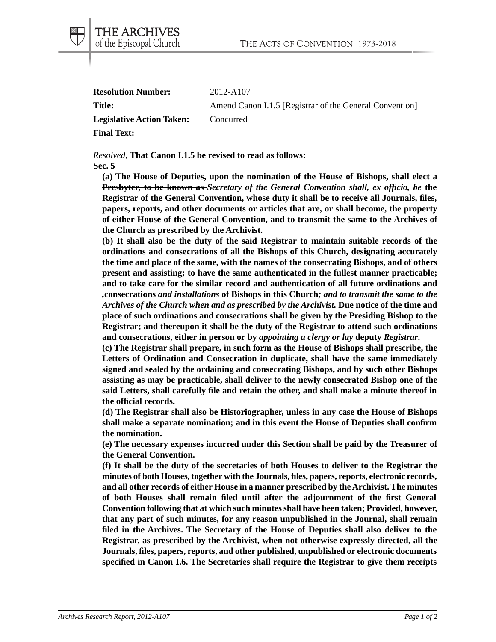| <b>Resolution Number:</b>        | 2012-A107                                               |
|----------------------------------|---------------------------------------------------------|
| Title:                           | Amend Canon I.1.5 [Registrar of the General Convention] |
| <b>Legislative Action Taken:</b> | Concurred                                               |
| <b>Final Text:</b>               |                                                         |

*Resolved*, **That Canon I.1.5 be revised to read as follows:**

**Sec. 5**

THE ARCHIVES of the Episcopal Church

**(a) The House of Deputies, upon the nomination of the House of Bishops, shall elect a Presbyter, to be known as** *Secretary of the General Convention shall, ex officio, be* **the Registrar of the General Convention, whose duty it shall be to receive all Journals, files, papers, reports, and other documents or articles that are, or shall become, the property of either House of the General Convention, and to transmit the same to the Archives of the Church as prescribed by the Archivist.**

**(b) It shall also be the duty of the said Registrar to maintain suitable records of the ordinations and consecrations of all the Bishops of this Church, designating accurately the time and place of the same, with the names of the consecrating Bishops, and of others present and assisting; to have the same authenticated in the fullest manner practicable; and to take care for the similar record and authentication of all future ordinations and** *,***consecrations** *and installations* **of Bishops in this Church***; and to transmit the same to the Archives of the Church when and as prescribed by the Archivist.* **Due notice of the time and place of such ordinations and consecrations shall be given by the Presiding Bishop to the Registrar; and thereupon it shall be the duty of the Registrar to attend such ordinations and consecrations, either in person or by** *appointing a clergy or lay* **deputy** *Registrar***.**

**(c) The Registrar shall prepare, in such form as the House of Bishops shall prescribe, the Letters of Ordination and Consecration in duplicate, shall have the same immediately signed and sealed by the ordaining and consecrating Bishops, and by such other Bishops assisting as may be practicable, shall deliver to the newly consecrated Bishop one of the said Letters, shall carefully file and retain the other, and shall make a minute thereof in the official records.**

**(d) The Registrar shall also be Historiographer, unless in any case the House of Bishops shall make a separate nomination; and in this event the House of Deputies shall confirm the nomination.**

**(e) The necessary expenses incurred under this Section shall be paid by the Treasurer of the General Convention.**

**(f) It shall be the duty of the secretaries of both Houses to deliver to the Registrar the minutes of both Houses, together with the Journals, files, papers, reports, electronic records, and all other records of either House in a manner prescribed by the Archivist. The minutes of both Houses shall remain filed until after the adjournment of the first General Convention following that at which such minutes shall have been taken; Provided, however, that any part of such minutes, for any reason unpublished in the Journal, shall remain filed in the Archives. The Secretary of the House of Deputies shall also deliver to the Registrar, as prescribed by the Archivist, when not otherwise expressly directed, all the Journals, files, papers, reports, and other published, unpublished or electronic documents specified in Canon I.6. The Secretaries shall require the Registrar to give them receipts**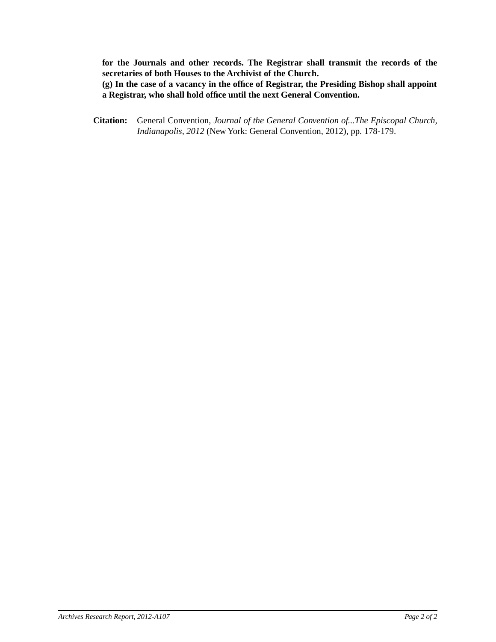**for the Journals and other records. The Registrar shall transmit the records of the secretaries of both Houses to the Archivist of the Church.**

**(g) In the case of a vacancy in the office of Registrar, the Presiding Bishop shall appoint a Registrar, who shall hold office until the next General Convention.**

**Citation:** General Convention, *Journal of the General Convention of...The Episcopal Church, Indianapolis, 2012* (New York: General Convention, 2012), pp. 178-179.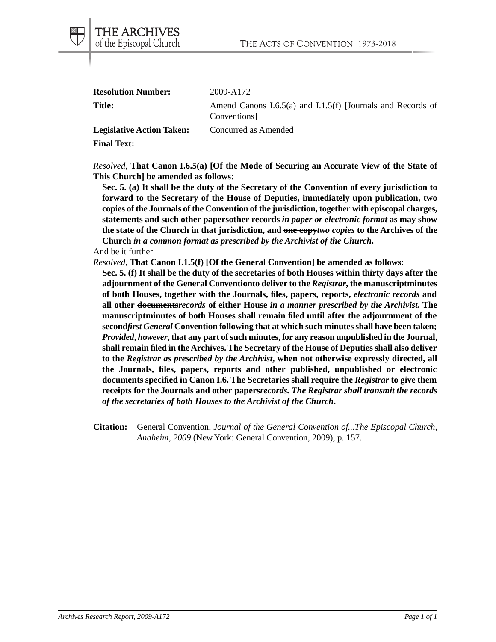| I THE ARCHIVES          |
|-------------------------|
| of the Episcopal Church |

| <b>Resolution Number:</b>        | 2009-A172                                                                   |
|----------------------------------|-----------------------------------------------------------------------------|
| Title:                           | Amend Canons I.6.5(a) and I.1.5(f) [Journals and Records of<br>Conventions] |
| <b>Legislative Action Taken:</b> | Concurred as Amended                                                        |
| <b>Final Text:</b>               |                                                                             |

*Resolved*, **That Canon I.6.5(a) [Of the Mode of Securing an Accurate View of the State of This Church] be amended as follows**:

**Sec. 5. (a) It shall be the duty of the Secretary of the Convention of every jurisdiction to forward to the Secretary of the House of Deputies, immediately upon publication, two copies of the Journals of the Convention of the jurisdiction, together with episcopal charges, statements and such other papersother records** *in paper or electronic format* **as may show the state of the Church in that jurisdiction, and one copy***two copies* **to the Archives of the Church** *in a common format as prescribed by the Archivist of the Church***.**

And be it further

*Resolved*, **That Canon I.1.5(f) [Of the General Convention] be amended as follows**:

**Sec. 5. (f) It shall be the duty of the secretaries of both Houses within thirty days after the adjournment of the General Conventionto deliver to the** *Registrar***, the manuscriptminutes of both Houses, together with the Journals, files, papers, reports,** *electronic records* **and all other documents***records* **of either House** *in a manner prescribed by the Archivist***. The manuscriptminutes of both Houses shall remain filed until after the adjournment of the second***first General* **Convention following that at which such minutes shall have been taken;** *Provided***,** *however***, that any part of such minutes, for any reason unpublished in the Journal, shall remain filed in the Archives. The Secretary of the House of Deputies shall also deliver to the** *Registrar as prescribed by the Archivist***, when not otherwise expressly directed, all the Journals, files, papers, reports and other published, unpublished or electronic documents specified in Canon I.6. The Secretaries shall require the** *Registrar* **to give them receipts for the Journals and other papers***records. The Registrar shall transmit the records of the secretaries of both Houses to the Archivist of the Church***.**

**Citation:** General Convention, *Journal of the General Convention of...The Episcopal Church, Anaheim, 2009* (New York: General Convention, 2009), p. 157.